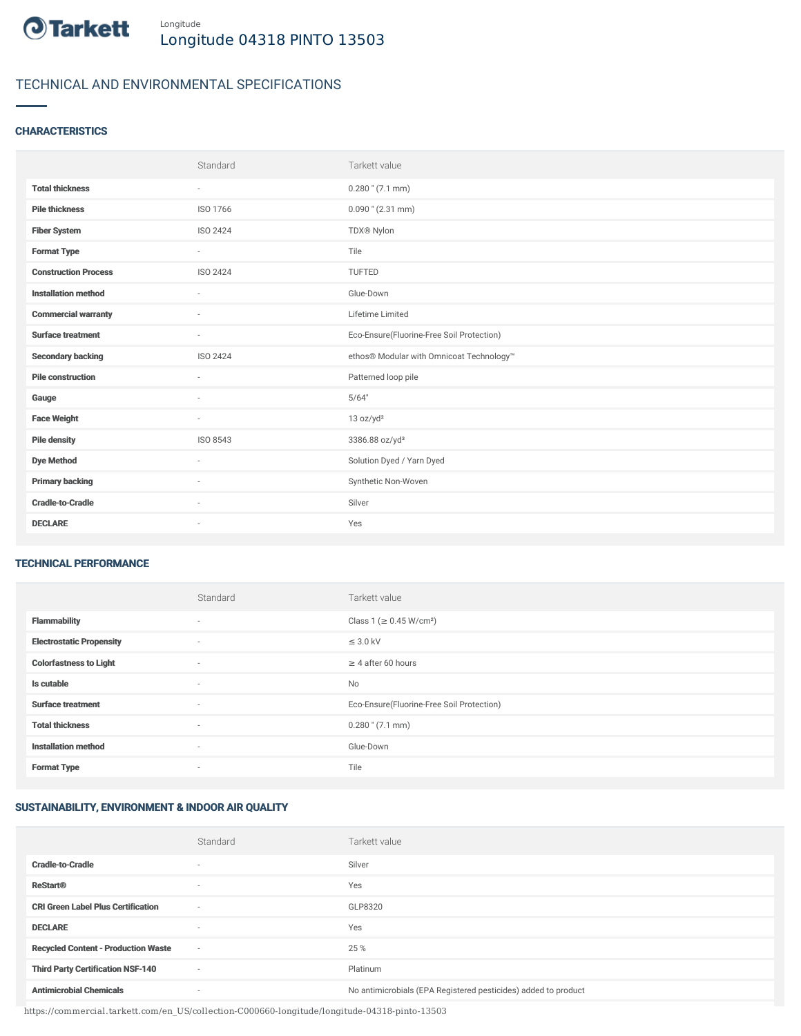

# TECHNICAL AND ENVIRONMENTAL SPECIFICATIONS

# **CHARACTERISTICS**

|                             | Standard                 | Tarkett value                             |
|-----------------------------|--------------------------|-------------------------------------------|
| <b>Total thickness</b>      | $\sim$                   | $0.280$ " (7.1 mm)                        |
| <b>Pile thickness</b>       | ISO 1766                 | $0.090$ " (2.31 mm)                       |
| <b>Fiber System</b>         | ISO 2424                 | TDX® Nylon                                |
| <b>Format Type</b>          | $\sim$                   | Tile                                      |
| <b>Construction Process</b> | ISO 2424                 | TUFTED                                    |
| <b>Installation method</b>  | $\sim$                   | Glue-Down                                 |
| <b>Commercial warranty</b>  |                          | Lifetime Limited                          |
| <b>Surface treatment</b>    | $\sim$                   | Eco-Ensure(Fluorine-Free Soil Protection) |
| <b>Secondary backing</b>    | ISO 2424                 | ethos® Modular with Omnicoat Technology™  |
| <b>Pile construction</b>    |                          | Patterned loop pile                       |
| Gauge                       |                          | 5/64"                                     |
| <b>Face Weight</b>          | $\sim$                   | 13 oz/yd <sup>2</sup>                     |
| <b>Pile density</b>         | ISO 8543                 | 3386.88 oz/yd <sup>3</sup>                |
| <b>Dye Method</b>           | $\sim$                   | Solution Dyed / Yarn Dyed                 |
| <b>Primary backing</b>      | $\sim$                   | Synthetic Non-Woven                       |
| <b>Cradle-to-Cradle</b>     | $\overline{\phantom{a}}$ | Silver                                    |
| <b>DECLARE</b>              | $\sim$                   | Yes                                       |

### TECHNICAL PERFORMANCE

|                                 | Standard                 | Tarkett value                             |
|---------------------------------|--------------------------|-------------------------------------------|
| <b>Flammability</b>             | $\overline{\phantom{a}}$ | Class 1 (≥ 0.45 W/cm <sup>2</sup> )       |
| <b>Electrostatic Propensity</b> | $\sim$                   | $\leq$ 3.0 kV                             |
| <b>Colorfastness to Light</b>   | ۰                        | $\geq 4$ after 60 hours                   |
| Is cutable                      | $\sim$                   | No                                        |
| <b>Surface treatment</b>        | $\sim$                   | Eco-Ensure(Fluorine-Free Soil Protection) |
| <b>Total thickness</b>          | $\sim$                   | $0.280$ " (7.1 mm)                        |
| <b>Installation method</b>      | $\sim$                   | Glue-Down                                 |
| <b>Format Type</b>              | ۰                        | Tile                                      |

## SUSTAINABILITY, ENVIRONMENT & INDOOR AIR QUALITY

|                                            | Standard                 | Tarkett value                                                  |
|--------------------------------------------|--------------------------|----------------------------------------------------------------|
| <b>Cradle-to-Cradle</b>                    | ۰                        | Silver                                                         |
| <b>ReStart®</b>                            | $\overline{\phantom{a}}$ | Yes                                                            |
| <b>CRI Green Label Plus Certification</b>  | $\overline{\phantom{a}}$ | GLP8320                                                        |
| <b>DECLARE</b>                             | $\overline{\phantom{a}}$ | Yes                                                            |
| <b>Recycled Content - Production Waste</b> | $\sim$                   | 25 %                                                           |
| <b>Third Party Certification NSF-140</b>   | $\overline{\phantom{a}}$ | Platinum                                                       |
| <b>Antimicrobial Chemicals</b>             | ٠                        | No antimicrobials (EPA Registered pesticides) added to product |

https://commercial.tarkett.com/en\_US/collection-C000660-longitude/longitude-04318-pinto-13503